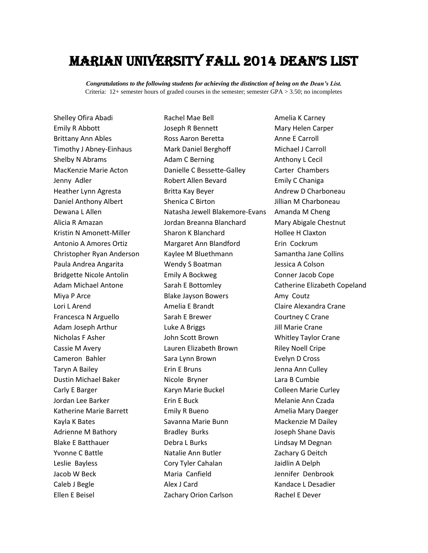## Marian university Fall 2014 dean's list

*Congratulations to the following students for achieving the distinction of being on the Dean's List.* Criteria: 12+ semester hours of graded courses in the semester; semester GPA > 3.50; no incompletes

Shelley Ofira Abadi Rachel Mae Bell Amelia K Carney

Emily R Abbott Joseph R Bennett Mary Helen Carper Brittany Ann Ables **Ross Aaron Beretta** Anne E Carroll Timothy J Abney-Einhaus Mark Daniel Berghoff Michael J Carroll Shelby N Abrams **Adam C Berning** Anthony L Cecil MacKenzie Marie Acton Danielle C Bessette-Galley Carter Chambers Jenny Adler **Nobert Allen Bevard** Emily C Chaniga Heather Lynn Agresta **Britta Kay Beyer** Andrew D Charboneau Daniel Anthony Albert Shenica C Birton Jillian M Charboneau Dewana L Allen Natasha Jewell Blakemore-Evans Amanda M Cheng Alicia R Amazan Jordan Breanna Blanchard Mary Abigale Chestnut Kristin N Amonett-Miller Sharon K Blanchard Hollee H Claxton Antonio A Amores Ortiz Margaret Ann Blandford Erin Cockrum Christopher Ryan Anderson Kaylee M Bluethmann Samantha Jane Collins Paula Andrea Angarita **Wendy S Boatman** Jessica A Colson Bridgette Nicole Antolin Emily A Bockweg Conner Jacob Cope Adam Michael Antone Sarah E Bottomley Catherine Elizabeth Copeland Miya P Arce **Amy Coutz** Blake Jayson Bowers **Amy Coutz** Lori L Arend **Amelia E Brandt** Claire Alexandra Crane Francesca N Arguello Sarah E Brewer Courtney C Crane Adam Joseph Arthur **Luke A Briggs** Figure 1.1 and The Crane Nicholas F Asher John Scott Brown Whitley Taylor Crane Cassie M Avery Lauren Elizabeth Brown Riley Noell Cripe Cameron Bahler Sara Lynn Brown Evelyn D Cross Taryn A Bailey **Erin E Bruns** From Bruns Jenna Ann Culley Dustin Michael Baker Nicole Bryner Lara B Cumbie Carly E Barger The Colleen Marie Buckel Colleen Marie Curley Jordan Lee Barker Erin E Buck Melanie Ann Czada Katherine Marie Barrett **Emily R Bueno Emily R Bueno** Amelia Mary Daeger Kayla K Bates **Savanna Marie Bunn** Mackenzie M Dailey Adrienne M Bathory **Bradley Burks** Brame Bay Boseph Shane Davis Blake E Batthauer **Debra L Burks** Lindsay M Degnan Yvonne C Battle **Natalie Ann Butler** Matalie Ann Butler **Natalie Ann Butler** Zachary G Deitch Leslie Bayless Cory Tyler Cahalan Jaidlin A Delph Jacob W Beck Maria Canfield Jennifer Denbrook Caleb J Begle **Alex J Card** Card **Kandace L Desadier Alex J Card** Kandace L Desadier Ellen E Beisel **Zachary Orion Carlson** Rachel E Dever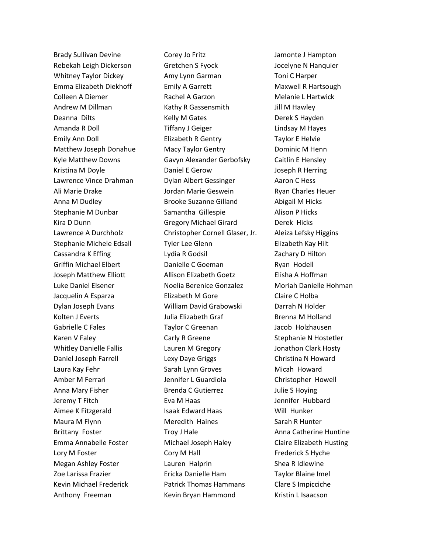Brady Sullivan Devine **Corey Jo Fritz** Fritz Jamonte J Hampton

Rebekah Leigh Dickerson Gretchen S Fyock Jocelyne N Hanquier Whitney Taylor Dickey **Amy Lynn Garman** Toni C Harper Emma Elizabeth Diekhoff Emily A Garrett Maxwell R Hartsough Colleen A Diemer Rachel A Garzon Melanie L Hartwick Andrew M Dillman **Kathy R Gassensmith** Jill M Hawley Deanna Dilts **Example 2 Selly M Gates** Communication Controller Derek S Hayden Amanda R Doll **Tiffany J Geiger** Lindsay M Hayes Emily Ann Doll Elizabeth R Gentry Taylor E Helvie Matthew Joseph Donahue Macy Taylor Gentry **Machannic M** Henn Kyle Matthew Downs Gavyn Alexander Gerbofsky Caitlin E Hensley Kristina M Doyle **Daniel E Gerow** Joseph R Herring Lawrence Vince Drahman Dylan Albert Gessinger Aaron C Hess Ali Marie Drake Jordan Marie Geswein Ryan Charles Heuer Anna M Dudley **Brooke Suzanne Gilland** Abigail M Hicks Stephanie M Dunbar Samantha Gillespie Alison P Hicks Kira D Dunn Gregory Michael Girard Derek Hicks Lawrence A Durchholz Christopher Cornell Glaser, Jr. Aleiza Lefsky Higgins Stephanie Michele Edsall Tyler Lee Glenn Elizabeth Kay Hilt Cassandra K Effing The Lydia R Godsil The Lydia R Godsil Zachary D Hilton Griffin Michael Elbert **Danielle C Goeman** Ryan Hodell Joseph Matthew Elliott Allison Elizabeth Goetz Elisha A Hoffman Luke Daniel Elsener Noelia Berenice Gonzalez Moriah Danielle Hohman Jacquelin A Esparza **Elizabeth M Gore** Claire C Holba Dylan Joseph Evans William David Grabowski Darrah N Holder Kolten J Everts **Markolten Brenna Colland** Julia Elizabeth Graf **Brenna M Holland** Gabrielle C Fales Taylor C Greenan Jacob Holzhausen Karen V Faley **Carly R Greene** Stephanie N Hostetler Whitley Danielle Fallis **Lauren M Gregory Lauren M Gregory** Jonathon Clark Hosty Daniel Joseph Farrell **Lexy Daye Griggs** Christina N Howard Laura Kay Fehr Sarah Lynn Groves Micah Howard Amber M Ferrari Jennifer L Guardiola Christopher Howell Anna Mary Fisher Brenda C Gutierrez Julie S Hoying Jeremy T Fitch **Eva M Haas** Jennifer Hubbard Aimee K Fitzgerald **Isaak Edward Haas** Will Hunker Maura M Flynn **Meredith Haines** Sarah R Hunter Brittany Foster Troy J Hale **Anna Catherine Huntine** Anna Catherine Huntine Emma Annabelle Foster Michael Joseph Haley Claire Elizabeth Husting Lory M Foster **Cory M Hall** Frederick S Hyche Megan Ashley Foster Lauren Halprin Shea R Idlewine Zoe Larissa Frazier Ericka Danielle Ham Taylor Blaine Imel Kevin Michael Frederick Patrick Thomas Hammans Clare S Impicciche Anthony Freeman **Kevin Bryan Hammond** Kristin L Isaacson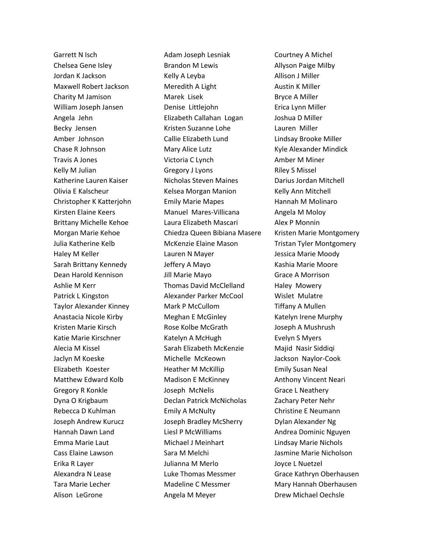Garrett N Isch Adam Joseph Lesniak Courtney A Michel

Chelsea Gene Isley **Brandon M Lewis Chelsea Gene Isley** Brandon M Lewis **Allyson Paige Milby** Jordan K Jackson **Kelly A Leyba** Allison J Miller Maxwell Robert Jackson Meredith A Light Maxwell Robert Jackson Charity M Jamison Marek Lisek Bryce A Miller William Joseph Jansen Denise Littlejohn Erica Lynn Miller Angela Jehn Elizabeth Callahan Logan Joshua D Miller Becky Jensen Kristen Suzanne Lohe Lauren Miller Amber Johnson Callie Elizabeth Lund Lindsay Brooke Miller Chase R Johnson **Mary Alice Lutz** Kyle Alexander Mindick Travis A Jones **Victoria C Lynch** Amber M Miner Kelly M Julian Gregory J Lyons Riley S Missel Katherine Lauren Kaiser Nicholas Steven Maines Darius Jordan Mitchell Olivia E Kalscheur Kelsea Morgan Manion Kelly Ann Mitchell Christopher K Katterjohn Emily Marie Mapes Hannah M Molinaro Kirsten Elaine Keers **Manuel Mares-Villicana** Angela M Moloy Brittany Michelle Kehoe Laura Elizabeth Mascari Alex P Monnin Morgan Marie Kehoe Chiedza Queen Bibiana Masere Kristen Marie Montgomery Julia Katherine Kelb McKenzie Elaine Mason Tristan Tyler Montgomery Haley M Keller **Lauren N Mayer** Mayer **Jessica Marie Moody** Sarah Brittany Kennedy **Jeffery A Mayo** Kashia Marie Moore Dean Harold Kennison **Jill Marie Mayo** Grace A Morrison Ashlie M Kerr Thomas David McClelland Haley Mowery Patrick L Kingston Alexander Parker McCool Wislet Mulatre Taylor Alexander Kinney **Mark P McCullom** Tiffany A Mullen Anastacia Nicole Kirby **Meghan E** McGinley **Katelyn** Irene Murphy Kristen Marie Kirsch Rose Kolbe McGrath Joseph A Mushrush Katie Marie Kirschner **Katelyn A McHugh Evelyn S Myers** Alecia M Kissel Sarah Elizabeth McKenzie Majid Nasir Siddiqi Jaclyn M Koeske Michelle McKeown Jackson Naylor-Cook Elizabeth Koester Heather M McKillip Emily Susan Neal Matthew Edward Kolb Madison E McKinney Anthony Vincent Neari Gregory R Konkle **Grace L Neathery** Joseph McNelis **Grace L Neathery** Dyna O Krigbaum Declan Patrick McNicholas Zachary Peter Nehr Rebecca D Kuhlman **Emily A McNulty** Christine E Neumann Joseph Andrew Kurucz Joseph Bradley McSherry Dylan Alexander Ng Hannah Dawn Land Liesl P McWilliams Andrea Dominic Nguyen Emma Marie Laut Michael J Meinhart Lindsay Marie Nichols Cass Elaine Lawson **Sara M Melchi** Jasmine Marie Nicholson Erika R Layer Julianna M Merlo Joyce L Nuetzel Alexandra N Lease Luke Thomas Messmer Grace Kathryn Oberhausen Tara Marie Lecher **Madeline C Messmer** Mary Hannah Oberhausen Alison LeGrone **Angela M Meyer Conservery Conservery Angela M Meyer Drew Michael Oechsle**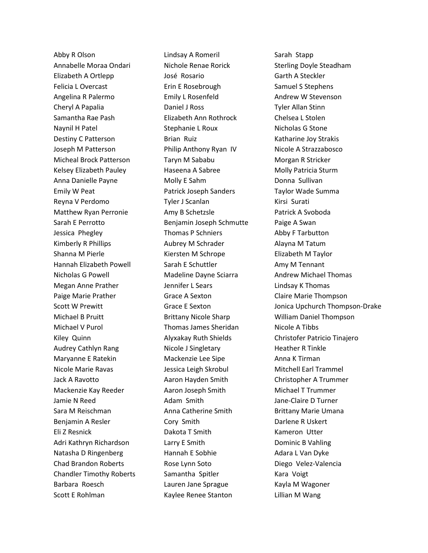Abby R Olson **Lindsay A Romeril** Sarah Stapp Annabelle Moraa Ondari Nichole Renae Rorick Sterling Doyle Steadham Elizabeth A Ortlepp José Rosario Garth A Steckler Felicia L Overcast **Erin E** Rosebrough Samuel S Stephens Angelina R Palermo **Emily L Rosenfeld** Andrew W Stevenson Cheryl A Papalia Daniel J Ross Tyler Allan Stinn Samantha Rae Pash Elizabeth Ann Rothrock Chelsea L Stolen Naynil H Patel Stephanie L Roux Nicholas G Stone Destiny C Patterson **Brian Ruiz** Katharine Joy Strakis Joseph M Patterson Philip Anthony Ryan IV Nicole A Strazzabosco Micheal Brock Patterson Taryn M Sababu Morgan R Stricker Kelsey Elizabeth Pauley **Haseena A Sabree** Molly Patricia Sturm Anna Danielle Payne **Molly E** Sahm **Donna Sullivan** Emily W Peat Patrick Joseph Sanders Taylor Wade Summa Reyna V Perdomo **Tyler J Scanlan** Kirsi Surati Matthew Ryan Perronie **Amy B Schetzsle** Patrick A Svoboda Sarah E Perrotto **Benjamin Joseph Schmutte** Paige A Swan Jessica Phegley Thomas P Schniers Abby F Tarbutton Kimberly R Phillips **Aubrey M Schrader** Alayna M Tatum Shanna M Pierle **Kiersten M Schrope** Elizabeth M Taylor Hannah Elizabeth Powell Sarah E Schuttler Amy M Tennant Nicholas G Powell Madeline Dayne Sciarra Andrew Michael Thomas Megan Anne Prather **International Communist Constructs** Lindsay K Thomas Paige Marie Prather **Grace A Sexton** Claire Marie Thompson Michael B Pruitt Brittany Nicole Sharp William Daniel Thompson Michael V Purol Thomas James Sheridan Nicole A Tibbs Kiley Quinn **Alyxakay Ruth Shields** Christofer Patricio Tinajero Audrey Cathlyn Rang **Nicole J Singletary Heather R Tinkle** Maryanne E Ratekin **Mackenzie Lee Sipe** Anna K Tirman Nicole Marie Ravas Jessica Leigh Skrobul Mitchell Earl Trammel Jack A Ravotto Aaron Hayden Smith Christopher A Trummer Mackenzie Kay Reeder **Aaron Joseph Smith** Michael T Trummer Jamie N Reed **Adam Smith** Jane-Claire D Turner Sara M Reischman **Anna Catherine Smith** Brittany Marie Umana Benjamin A Resler Cory Smith Cory Smith Darlene R Uskert Eli Z Resnick Dakota T Smith Kameron Utter Adri Kathryn Richardson Larry E Smith Dominic B Vahling Natasha D Ringenberg **Hannah E Sobhie Adara L Van Dyke** Adara L Van Dyke Chad Brandon Roberts **Rose Lynn Soto Rose Lynn Soto** Diego Velez-Valencia Chandler Timothy Roberts Samantha Spitler Kara Voigt Barbara Roesch **Lauren Jane Sprague** Kayla M Wagoner Scott E Rohlman Kaylee Renee Stanton Lillian M Wang

Scott W Prewitt **Grace E Sexton** Grace E Sexton Jonica Upchurch Thompson-Drake